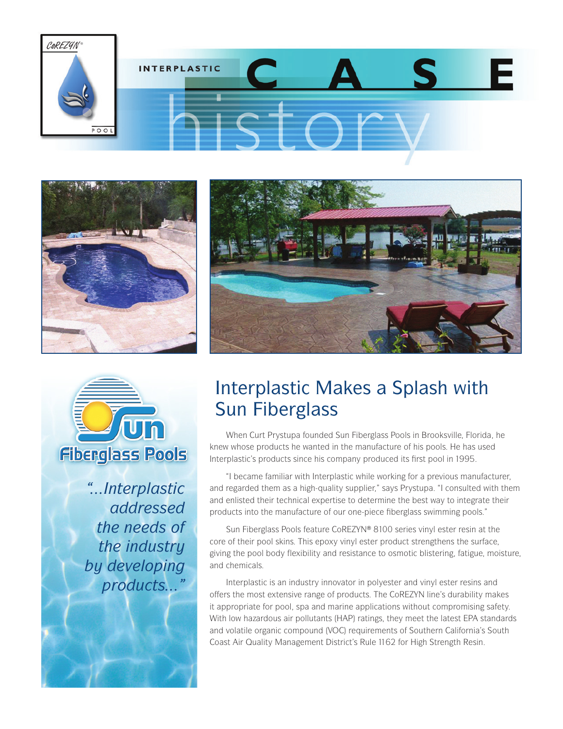







*"...Interplastic addressed the needs of the industry by developing products..."* 

## Interplastic Makes a Splash with Sun Fiberglass

When Curt Prystupa founded Sun Fiberglass Pools in Brooksville, Florida, he knew whose products he wanted in the manufacture of his pools. He has used Interplastic's products since his company produced its first pool in 1995.

"I became familiar with Interplastic while working for a previous manufacturer, and regarded them as a high-quality supplier," says Prystupa. "I consulted with them and enlisted their technical expertise to determine the best way to integrate their products into the manufacture of our one-piece fiberglass swimming pools."

Sun Fiberglass Pools feature CoREZYN® 8100 series vinyl ester resin at the core of their pool skins. This epoxy vinyl ester product strengthens the surface, giving the pool body flexibility and resistance to osmotic blistering, fatigue, moisture, and chemicals.

Interplastic is an industry innovator in polyester and vinyl ester resins and offers the most extensive range of products. The CoREZYN line's durability makes it appropriate for pool, spa and marine applications without compromising safety. With low hazardous air pollutants (HAP) ratings, they meet the latest EPA standards and volatile organic compound (VOC) requirements of Southern California's South Coast Air Quality Management District's Rule 1162 for High Strength Resin.